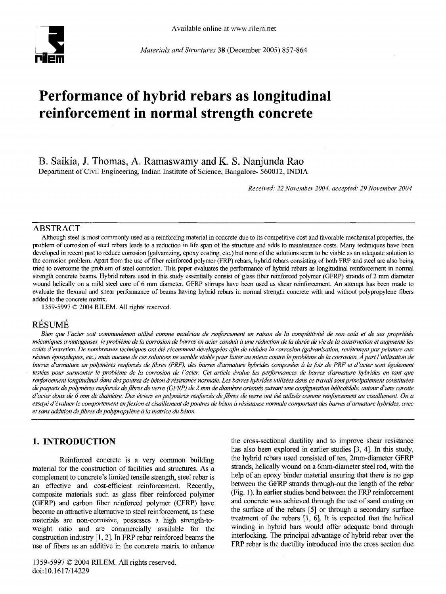

*Materials and Structures* 38 (December 2005) 857-864

# **Performance of hybrid rebars as longitudinal reinforcement in normal strength concrete**

**B. Saikia, J. Thomas, A. Ramaswamy and K. S. Nanjunda Rao**  Department of Civil Engineering, Indian Institute of Science, Bangalore- 560012, INDIA

*Received." 22 November 2004, accepted. 29 November 2004* 

#### ABSTRACT

A/though steel is most commonly used as a reinforcing material in concrete due to its competitive cost and favorable mechanical properties, the problem of corrosion of steel rebars leads to a reduction in life span of the structure and adds to maintenance costs. Many techniques have been developed in recent past to reduce corrosion (galvanizing, epoxy coating, etc.) but none of the solutions seem to be viable as an adequate solution to the corrosion problem. Apart from the use of fiber reinforced polymer (FRP) rebars, hybrid rebars consisting of both FRP and steel are also being tried to overcome the problem of steel corrosion. This paper evaluates the performance of hybrid rebars as longitudinal reinforcement in normal strength concrete beams. Hybrid rebars used in this study essentially consist of glass fiber reinforced polymer (GFRP) strands of 2 mm diameter wound helically on a mild steel core of 6 mm diameter. GFRP stirrups have been used as shear reinforcement. An attempt has been made to evaluate the flexural and shear performance of beams having hybrid rebars in normal strength concrete with and without polypropylene fibers **added to the** concrete matrix.

1359-5997 © 2004 RILEM. All rights reserved.

## **RÉSUMÉ**

Bien que l'acier soit communément utilisé comme matériau de renforcement en raison de la compétitivité de son coût et de ses propriétés *mécaniques avantageuses, le problème de la corrosion de barres en acier conduit à une réduction de la durée de vie de la construction et augmente les* coûts d'entretien. De nombreuses techniques ont été récemment développées afin de réduire la corrosion (galvanisation, revêtement par peinture aux résines époxydiques, etc.) mais aucune de ces solutions ne semble viable pour lutter au mieux contre le problème de la corrosion. À part l'utilisation de barres d'armature en polymères renforcés de fibres (PRF), des barres d'armature hybrides composées à la fois de PRF et d'acier sont également testées pour surmonter le problème de la corrosion de l'acier. Cet article évalue les performances de barres d'armature hybrides en tant que renforcement longitudinal dans des poutres de béton à résistance normale. Les barres hybrides utilisées dans ce travail sont principalement constituées de paquets de polymères renforcés de fibres de verre (GFRP) de 2 mm de diamètre orientés suivant une configuration hélicoïdale, autour d'une carotte d'acier doux de 6 mm de diamètre. Des étriers en polymères renforcés de fibres de verre ont été utilisés comme renforcement au cisaillement. On a essayé d'évaluer le comportement en flexion et cisaillement de poutres de béton à résistance normale comportant des barres d'armature hybrides, avec et sans addition de fibres de polypropylène à la matrice du béton.

## **1. INTRODUCTION**

Reinforced concrete is a very common building material for the construction of facilities and structures. As a complement to concrete's limited tensile strength, steel rebar is an effective and cost-efficient reinforcement. Recently, composite materials such as glass fiber reinforced polymer (GFRP) and carbon fiber reinforced polymer (CFRP) have become an attractive alternative to steel reinforcement, as these materials are non-corrosive, possesses a high strength-toweight ratio and are commercially available for the construction industry [1, 2]. In FRP rebar reinforced beams the use of fibers as an additive in the concrete matrix to enhance the cross-sectional ductility and to improve shear resistance has also been explored in earlier studies [3, 4]. In this study, the hybrid rebars used consisted of ten, 2mm-diameter GFRP strands, helically wound on a 6mm-diameter steel rod, with the help of an epoxy binder material ensuring that there is no gap between the GFRP strands through-out the length of the rebar (Fig. 1). In earlier studies bond between the FRP reinforcement and concrete was achieved through the use of sand coating on the surface of the rebars [5] or through a secondary surface treatment of the rebars [1, 6]. It is expected that the helical winding in hybrid bars would offer adequate bond through interlocking. The principal advantage of hybrid rebar over the FRP rebar is the ductility introduced into the cross section due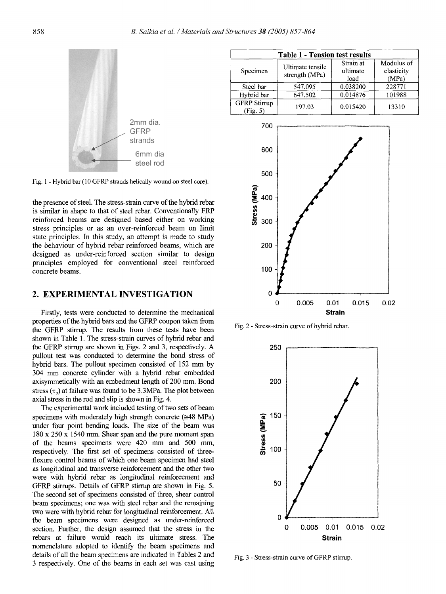

Fig. 1 - Hybrid bar (10 GFRP strands helically wound on steel core).

the presence of steel. The stress-strain curve of the hybrid rebar is similar in shape to that of steel rebar. Conventionally FRP reinforced beams are designed based either on working stress principles or as an over-reinforced beam on limit state principles. In this study, an attempt is made to study the behaviour of hybrid rebar reinforced beams, which are designed as under-reinforced section similar to design principles employed for conventional steel reinforced concrete beams.

## 2. EXPERIMENTAL INVESTIGATION

Firstly, tests were conducted to determine the mechanical properties of the hybrid bars and the GFRP coupon taken from the GFRP stirrup. The results from these tests have been shown in Table 1. The stress-strain curves of hybrid rebar and the GFRP stirrup are shown in Figs. 2 and 3, respectively. A pullout test was conducted to determine the bond stress of hybrid bars. The pullout specimen consisted of 152 mm by 304 mm concrete cylinder with a hybrid rebar embedded axisymmetically with an embedment length of 200 mm. Bond stress  $(\tau_b)$  at failure was found to be 3.3MPa. The plot between axial stress in the rod and slip is shown in Fig. 4.

The experimental work included testing of two sets of beam specimens with moderately high strength concrete ( $\approx$ 48 MPa) under four point bending loads. The size of the beam was 180 x 250 x 1540 mm. Shear span and the pure moment span of the beams specimens were 420 mm and 500 mm, respectively. The first set of specimens consisted of threeflexure control beams of which one beam specimen had steel as longitudinal and transverse reinforcement and the other two were with hybrid rebar as longitudinal reinforcement and GFRP stirrups. Details of GFRP stirrup are shown in Fig. 5. The second set of specimens consisted of three, shear control beam specimens; one was with steel rebar and the remaining two were with hybrid rebar for longitudinal reinforcement. All the beam specimens were designed as under-reinforced section. Further, the design assumed that the stress in the rebars at failure would reach its ultimate stress. The nomenclature adopted to identify the beam specimens and details of all the beam specimens are indicated in Tables 2 and 3 respectively. One of the beams in each set was cast using

| <b>Table 1 - Tension test results</b> |                                    |                               |                                   |  |
|---------------------------------------|------------------------------------|-------------------------------|-----------------------------------|--|
| Specimen                              | Ultimate tensile<br>strength (MPa) | Strain at<br>ultimate<br>load | Modulus of<br>elasticity<br>(MPa) |  |
| Steel bar                             | 547.095                            | 0.038200                      | 228771                            |  |
| Hybrid bar                            | 647.502                            | 0.014876                      | 101988                            |  |
| <b>GFRP</b> Stirrup<br>(Fig. 5)       | 197.03                             | 0.015420                      | 13310                             |  |



Fig. 2 - Stress-strain curve of hybrid rebar.



Fig. 3 - Stress-strain curve of GFRP stirrup.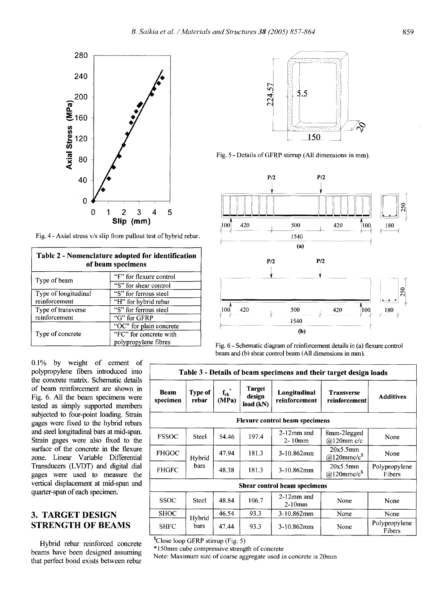

Fig. 4 - Axial stress v/s slip from pullout test of hybrid rebar.

| Table 2 - Nomenclature adopted for identification<br>of beam specimens |                         |  |  |
|------------------------------------------------------------------------|-------------------------|--|--|
| Type of beam                                                           | "F" for flexure control |  |  |
|                                                                        | "S" for shear control   |  |  |
| Type of longitudinal                                                   | "S" for ferrous steel   |  |  |
| reinforcement                                                          | "H" for hybrid rebar    |  |  |
| Type of transverse                                                     | "S" for ferrous steel   |  |  |
| reinforcement                                                          | "G" for GFRP            |  |  |
|                                                                        | "OC" for plain concrete |  |  |
| Type of concrete                                                       | "FC" for concrete with  |  |  |
|                                                                        | polypropylene fibres    |  |  |



Fig. 5 - Details of GFRP stirrup (All dimensions in mm).



Fig. 6 - Schematic diagram of reinforcement details in (a) flexure control beam and (b) shear control beam (All dimensions in mm).

| Table 3 - Details of beam specimens and their target design loads |                  |                                  |                                      |                               |                                     |                         |
|-------------------------------------------------------------------|------------------|----------------------------------|--------------------------------------|-------------------------------|-------------------------------------|-------------------------|
| <b>Beam</b><br>specimen                                           | Type of<br>rebar | ${\bf f}_{\bf ck}$ $^*$<br>(MPa) | <b>Target</b><br>design<br>load (kN) | Longitudinal<br>reinforcement | <b>Transverse</b><br>reinforcement  | <b>Additives</b>        |
| <b>Flexure control beam specimens</b>                             |                  |                                  |                                      |                               |                                     |                         |
| <b>FSSOC</b>                                                      | <b>Steel</b>     | 54.46                            | 197.4                                | $2-12$ mm and<br>$2-10$ mm    | 8mm-2legged<br>$@120mm$ c/c         | None                    |
| <b>FHGOC</b>                                                      | Hybrid<br>bars   | 47.94                            | 181.3                                | 3-10.862mm                    | 20x5.5mm<br>@120mmc/c <sup>\$</sup> | None                    |
| <b>FHGFC</b>                                                      |                  | 48.38                            | 181.3                                | $3-10.862$ mm                 | 20x5.5mm<br>@120mmc/ $c^s$          | Polypropylene<br>Fibers |
| Shear control beam specimens                                      |                  |                                  |                                      |                               |                                     |                         |
| <b>SSOC</b>                                                       | Steel            | 48.84                            | 106.7                                | $2-12$ mm and<br>$2-10$ mm    | None                                | None                    |
| <b>SHOC</b>                                                       |                  | 46.54                            | 93.3                                 | 3-10.862mm                    | None                                | None                    |
| <b>SHFC</b>                                                       | Hybrid<br>bars   | 47.44                            | 93.3                                 | $3-10.862$ mm                 | None                                | Polypropylene<br>Fibers |

\$Close loop GFRP stirrup (Fig. 5)

\* 150mm cube compressive strength of concrete

Note: Maximum size of coarse aggregate used in concrete is 20mm

0.1% by weight of cement of polypropylene fibers introduced into the concrete matrix. Schematic details of beam reinforcement are shown in Fig. 6. All the beam specimens were tested as simply supported members subjected to four-point loading. Strain gages were fixed to the hybrid rebars and steel longitudinal bars at mid-span. Strain gages were also fixed to the surface of the concrete in the flexure zone. Linear Variable Differential Transducers (LVDT) and digital dial gages were used to measure the vertical displacement at mid-span and quarter-span of each specimen.

# **3. TARGET DESIGN STRENGTH OF BEAMS**

Hybrid rebar reinforced concrete beams have been designed assuming that perfect bond exists between rebar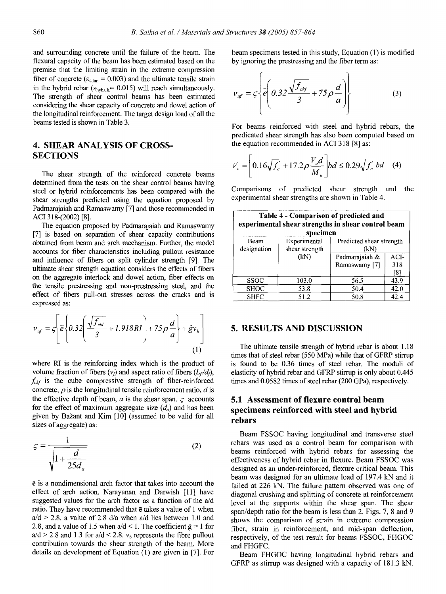and surrounding concrete until the failure of the beam. The flexural capacity of the beam has been estimated based on the premise that the limiting strain in the extreme compression fiber of concrete ( $\varepsilon_{c,lim} = 0.003$ ) and the ultimate tensile strain in the hybrid rebar ( $\varepsilon_{\text{hyb,ult}}$ = 0.015) will reach simultaneously. The strength of shear control beams has been estimated considering the shear capacity of concrete and dowel action of the longitudinal reinforcement. The target design load of all the beams tested is shown in Table 3.

## **4. SHEAR ANALYSIS OF CROSS-SECTIONS**

The shear strength of the reinforced concrete beams determined from the tests on the shear control beams having **steel** or hybrid reinforcements has been compared with the shear strengths predicted using the equation proposed by Padmarajaiah and Ramaswamy [7] and those recommended in ACI 318-(2002) [8].

The equation proposed by Padmarajaiah and Ramaswamy [7] is based on separation of shear capacity contributions obtained from beam and arch mechanism. Further, the model accounts for fiber characteristics including pullout resistance and influence of fibers on split cylinder strength [9]. The ultimate shear strength equation considers the effects of fibers on the aggregate interlock and dowel action, fiber effects on the tensile prestressing and non-prestressing steel, and the effect of fibers pull-out stresses across the cracks and is **expressed as:** 

$$
v_{uf} = \varsigma \left[ \overline{e} \left\{ 0.32 \left( \frac{\sqrt{f_{cbf}}}{3} + 1.918RI \right) + 75 \rho \frac{d}{a} \right\} + \hat{g} v_b \right]
$$
(1)

where RI is the reinforcing index which is the product of volume fraction of fibers  $(v_i)$  and aspect ratio of fibers  $(L_f/d_i)$ ,  $f_{c\not t}$  is the cube compressive strength of fiber-reinforced concrete,  $\rho$  is the longitudinal tensile reinforcement ratio,  $d$  is the effective depth of beam,  $a$  is the shear span,  $\zeta$  accounts for the effect of maximum aggregate size  $(d_a)$  and has been given by Bažant and Kim [10] (assumed to be valid for all sizes of aggregate) **as:** 

$$
\zeta = \frac{1}{\sqrt{1 + \frac{d}{25d_a}}} \tag{2}
$$

 $\bar{e}$  is a nondimensional arch factor that takes into account the effect of arch action. Narayanan and Darwish [11] have **suggested** values for the arch factor as a function of the a/d ratio. They have recommended that  $\bar{e}$  takes a value of 1 when  $a/d > 2.8$ , a value of 2.8 d/a when  $a/d$  lies between 1.0 and 2.8, and a value of 1.5 when  $a/d < 1$ . The coefficient  $\hat{g} = 1$  for  $a/d > 2.8$  and 1.3 for  $a/d \le 2.8$ .  $v_b$  represents the fibre pullout contribution towards the shear strength of the beam. More details on development of Equation (1) are given in [7]. For beam specimens tested in this study, Equation (1) is modified by ignoring the prestressing and the fiber term **as:** 

$$
v_{uf} = \varsigma \left\{ \bar{e} \left( 0.32 \frac{\sqrt{f_{cbf}}}{3} + 75 \rho \frac{d}{a} \right) \right\} \tag{3}
$$

For beams reinforced with steel and hybrid rebars, the predicated shear strength has also been computed based on the equation recommended in ACI 318 [8] **as:** 

$$
V_c = \left[ 0.16 \sqrt{f_c} + 17.2 \rho \frac{V_u d}{M_u} \right] bd \le 0.29 \sqrt{f_c} bd \quad (4)
$$

Comparisons of predicted shear strength and the experimental shear strengths are shown in Table 4.

| Table 4 - Comparison of predicted and<br>experimental shear strengths in shear control beam<br>specimen |                                |                                 |      |  |
|---------------------------------------------------------------------------------------------------------|--------------------------------|---------------------------------|------|--|
| Beam<br>designation                                                                                     | Experimental<br>shear strength | Predicted shear strength<br>(kN |      |  |
|                                                                                                         | (kN)                           | Padmarajaiah &                  | ACI- |  |
|                                                                                                         |                                | Ramaswamy [7]                   | 318  |  |
|                                                                                                         |                                |                                 | [8]  |  |
| <b>SSOC</b>                                                                                             | 103.0                          | 56.5                            | 43.9 |  |
| <b>SHOC</b>                                                                                             | 53.8                           | 50.4                            | 42.0 |  |
| <b>SHFC</b>                                                                                             | 51.2                           | 50.8                            | 42.4 |  |

## 5. RESULTS AND DISCUSSION

The ultimate tensile strength of hybrid rebar is about 1.18 times that of steel rebar (550 MPa) while that of GFRP stirrup is found to be 0.36 times of steel rebar. The moduli of elasticity of hybrid rebar and GFRP stirrup is only about 0.445 times and 0.0582 times of steel rebar (200 GPa), respectively.

# **5.1 Assessment of flexure control beam specimens reinforced with steel and hybrid rebars**

Beam FSSOC having longitudinal and transverse steel rebars was used as a control beam for comparison with beams reinforced with hybrid rebars for assessing the effectiveness of hybrid rebar in flexure. Beam FSSOC was designed as an under-reinforced, flexure critical beam. This beam was designed for an ultimate load of 197.4 kN and it failed at 226 kN. The failure pattern observed was one of diagonal crushing and splitting of concrete at reinforcement level at the supports within the shear span. The shear span/depth ratio for the beam is less than 2. Figs. 7, 8 and 9 shows the comparison of strain in extreme compression fiber, strain in reinforcement, and mid-span deflection, respectively, of the test result for beams FSSOC, FHGOC and FHGFC.

Beam FHGOC having longitudinal hybrid rebars and GFRP as stirrup was designed with a capacity of 181.3 kN.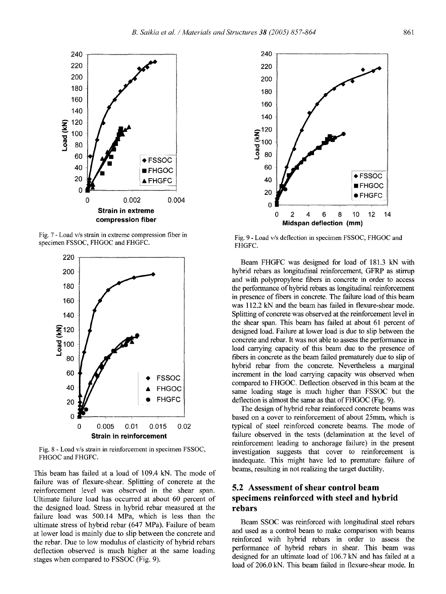Fig. 7 - Load v/s strain in extreme compression fiber in specimen FSSOC, FHGOC and FHGFC.

0 0,002 0.004 **Strain in extreme compression fiber** 

 $\bullet$  FSSOC **FHGOC** 

**A FHGFC** 

**/** 

**4**<br>**7 1**<br>**1 1**<br>**1 80**<br>**80 lOO ao**  60 40 20  $\Omega$ 



Fig. 8 - Load v/s strain in reinforcement in specimen FSSOC, FHGOC and FHGFC.

This beam has failed at a load of 109.4 kN. The mode of failure was of flexure-shear. Splitting of concrete at the reinforcement level was observed in the shear span. Ultimate failure load has occurred at about 60 percent of the designed load. Stress in hybrid rebar measured at the failure load was 500,14 MPa, which is less than the ultimate stress of hybrid rebar (647 MPa). Failure of beam at lower load is mainly due to slip between the concrete and the rebar. Due to low modulus of elasticity of hybrid rebars deflection observed is much higher at the same loading stages when compared to FSSOC (Fig. 9).



Fig. 9 - Load v/s deflection in specimen FSSOC, FHGOC and FHGFC.

Beam FHGFC was designed for load of 181.3 kN with hybrid rebars as longitudinal reinforcement, GFRP as stirrup and with polypropylene fibers in concrete in order to access the performance of hybrid rebars as longitudinal reinforcement in presence of fibers in concrete. The failure load of this beam was 112.2 kN and the beam has failed in flexure-shear mode. Splitting of concrete was observed at the reinforcement level in the shear span. This beam has failed at about 61 percent of designed load. Failure at lower load is due to slip between the concrete and rebar. It was not able to assess the performance in load carrying capacity of this beam due to the presence of fibers in concrete as the beam failed prematurely due to slip of hybrid rebar from the concrete. Nevertheless a marginal increment in the load carrying capacity was observed when compared to FHGOC. Deflection observed in this beam at the same loading stage is much higher than FSSOC but the deflection is almost the same as that of FHGOC (Fig, 9).

The design of hybrid rebar reinforced concrete beams was based on a cover to reinforcement of about 25mm, which is typical of steel reinforced concrete beams. The mode of failure observed in the tests (delamination at the level of reinforcement leading to anchorage failure) in the present investigation suggests that cover to reinforcement is inadequate. This might have led to premature failure of beams, resulting in not realizing the target ductility.

# **5.2 Assessment of shear control beam specimens reinforced with steel and hybrid rebars**

Beam SSOC was reinforced with longitudinal steel rebars and used as a control beam to make comparison with beams reinforced with hybrid rebars in order to assess the performance of hybrid rebars in shear. This beam was designed for an ultimate load of 106.7 kN and has failed at a load of 206.0 kN. This beam failed in flexure-shear mode. In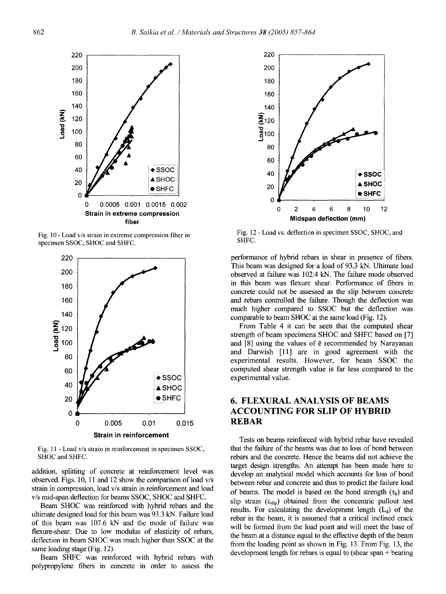

Fig. 10 - Load v/s strain in extreme compression fiber in specimen SSOC, SHOC and SHFC.



Fig. 11 - Load v/s strain in reinforcement in specimen SSOC, SHOC and SHFC.

addition, splitting of concrete at reinforcement level was observed. Figs. 10, 11 and 12 show the comparison of load v/s strain in compression, load v/s strain in reinforcement and load v/s mid-span deflection for beams SSOC, SHOC and SHFC.

Beam SHOC was reinforced with hybrid rebars and the ultimate designed load for this beam was 93.3 kN. Failure load of this beam was 107.6 kN and the mode of failure was flexure-shear. Due to low modulus of elasticity of rebars, deflection in beam SHOC was much higher than SSOC at the same loading stage (Fig. 12).

Beam SHFC was reinforced with hybrid rebars with polypropylene fibers in concrete in order to assess the



Fig. 12 - Load vs. deflection in specimen SSOC, SHOC, and SHFC.

performance of hybrid rebars in shear in presence of fibers. This beam was designed for a load of 93.3 kN. Ultimate load observed at failure was 102.4 kN. The failure mode observed in this beam was flexure shear. Performance of fibers in concrete could not be assessed as the slip between concrete and rebars controlled the failure. Though the deflection was much higher compared to SSOC but the deflection was comparable to beam SHOC at the same load (Fig. 12).

From Table 4 it can be seen that the computed shear strength of beam specimens SHOC and SHFC based on [7] and  $[8]$  using the values of  $\bar{e}$  recommended by Narayanan and Darwish [11] are in good agreement with the experimental results. However, for beam SSOC the computed shear strength value is far less compared to the experimental value.

# **6. FLEXURAL ANALYSIS OF BEAMS ACCOUNTING FOR SLIP OF HYBRID REBAR**

Tests on beams reinforced with hybrid rebar have revealed that the failure of the beams was due to loss of bond between rebars and the concrete. Hence the beams did not achieve the target design strengths. An attempt has been made here to develop an analytical model which accounts for loss of bond between rebar and concrete and thus to predict the failure load of beams. The model is based on the bond strength  $(\tau_b)$  and slip strain  $(\epsilon_{\text{slip}})$  obtained from the concentric pullout test results. For calculating the development length  $(L_d)$  of the rebar in the beam, it is assumed that a critical inclined crack will be formed from the load point and will meet the base of the beam at a distance equal to the effective depth of the beam from the loading point as shown in Fig. 13. From Fig. 13, the development length for rebars is equal to (shear span + bearing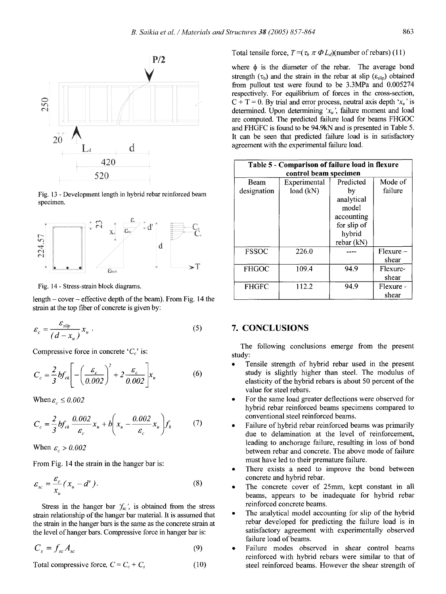

Fig. 13 - Development length in hybrid rebar reinforced beam specimen.



Fig. 14 - Stress-strain block diagrams.

length - cover - effective depth of the beam). From Fig. 14 the strain at the top fiber of concrete is given by:

$$
\varepsilon_c = \frac{\varepsilon_{slip}}{(d - x_u)} x_u \tag{5}
$$

Compressive force in concrete ' $C_c$ ' is:

$$
C_c = \frac{2}{3}bf_{ck} \left[ -\left(\frac{\varepsilon_c}{0.002}\right)^2 + 2\frac{\varepsilon_c}{0.002} \right] x_u \tag{6}
$$

When  $\varepsilon_c \leq 0.002$ 

$$
C_c = \frac{2}{3}bf_{ck}\frac{0.002}{\varepsilon_c}x_u + b\left(x_u - \frac{0.002}{\varepsilon_c}x_u\right) f_k \tag{7}
$$

When  $\varepsilon_c > 0.002$ 

From Fig. 14 the strain in the hanger bar is:

$$
\varepsilon_{sc} = \frac{\varepsilon_c}{x_u} (x_u - d') \,. \tag{8}
$$

Stress in the hanger bar  $f_{sc}$ , is obtained from the stress strain relationship of the hanger bar material. It is assumed that the strain in the hanger bars is the same as the concrete strain at the level of hanger bars. Compressive force in hanger bar is:

$$
C_s = f_{sc} A_{sc} \tag{9}
$$

Total compressive force,  $C = C_c + C_s$  (10)

Total tensile force,  $T = (\tau_b \pi \Phi L_d)$ (number of rebars) (11)

where  $\phi$  is the diameter of the rebar. The average bond strength  $(\tau_b)$  and the strain in the rebar at slip ( $\varepsilon_{slip}$ ) obtained from pullout test were found to be 3.3MPa and 0.005274 respectively. For equilibrium of forces in the cross-section,  $C + T = 0$ . By trial and error process, neutral axis depth ' $x<sub>u</sub>$ ' is determined. Upon determining ' $x_u$ ', failure moment and load are computed. The predicted failure load for beams FHGOC and FHGFC is found to be 94.9kN and is presented in Table 5. It can be seen that predicted failure load is in satisfactory agreement with the experimental failure load.

| Table 5 - Comparison of failure load in flexure<br>control beam specimen |                           |                                                                                             |                      |  |
|--------------------------------------------------------------------------|---------------------------|---------------------------------------------------------------------------------------------|----------------------|--|
| Beam<br>designation                                                      | Experimental<br>load (kN) | Predicted<br>bv<br>analytical<br>model<br>accounting<br>for slip of<br>hybrid<br>rebar (kN) | Mode of<br>failure   |  |
| <b>FSSOC</b>                                                             | 226.0                     |                                                                                             | $Flexure -$<br>shear |  |
| <b>FHGOC</b>                                                             | 109.4                     | 94.9                                                                                        | Flexure-<br>shear    |  |
| <b>FHGFC</b>                                                             | 112.2                     | 94.9                                                                                        | Flexure -<br>shear   |  |

#### 7. CONCLUSIONS

The following conclusions emerge from the present study:

- Tensile strength of hybrid rebar used in the present study is slightly higher than steel. The modulus of elasticity of the hybrid rebars is about 50 percent of the value for steel rebars.
- For the same load greater deflections were observed for hybrid rebar reinforced beams specimens compared to conventional steel reinforced beams.
- Failure of hybrid rebar reinforced beams was primarily due to delamination at the level of reinforcement, leading to anchorage failure, resulting in loss of bond between rebar and concrete. The above mode of failure must have led to their premature failure.
- There exists a need to improve the bond between concrete and hybrid rebar.
- The concrete cover of 25mm, kept constant in all beams, appears to be inadequate for hybrid rebar reinforced concrete beams.
- The analytical model accounting for slip of the hybrid rebar developed for predicting the failure load is in satisfactory agreement with experimentally observed failure load of beams.
- Failure modes observed in shear control beams reinforced with hybrid rebars were similar to that of steel reinforced beams. However the shear strength of